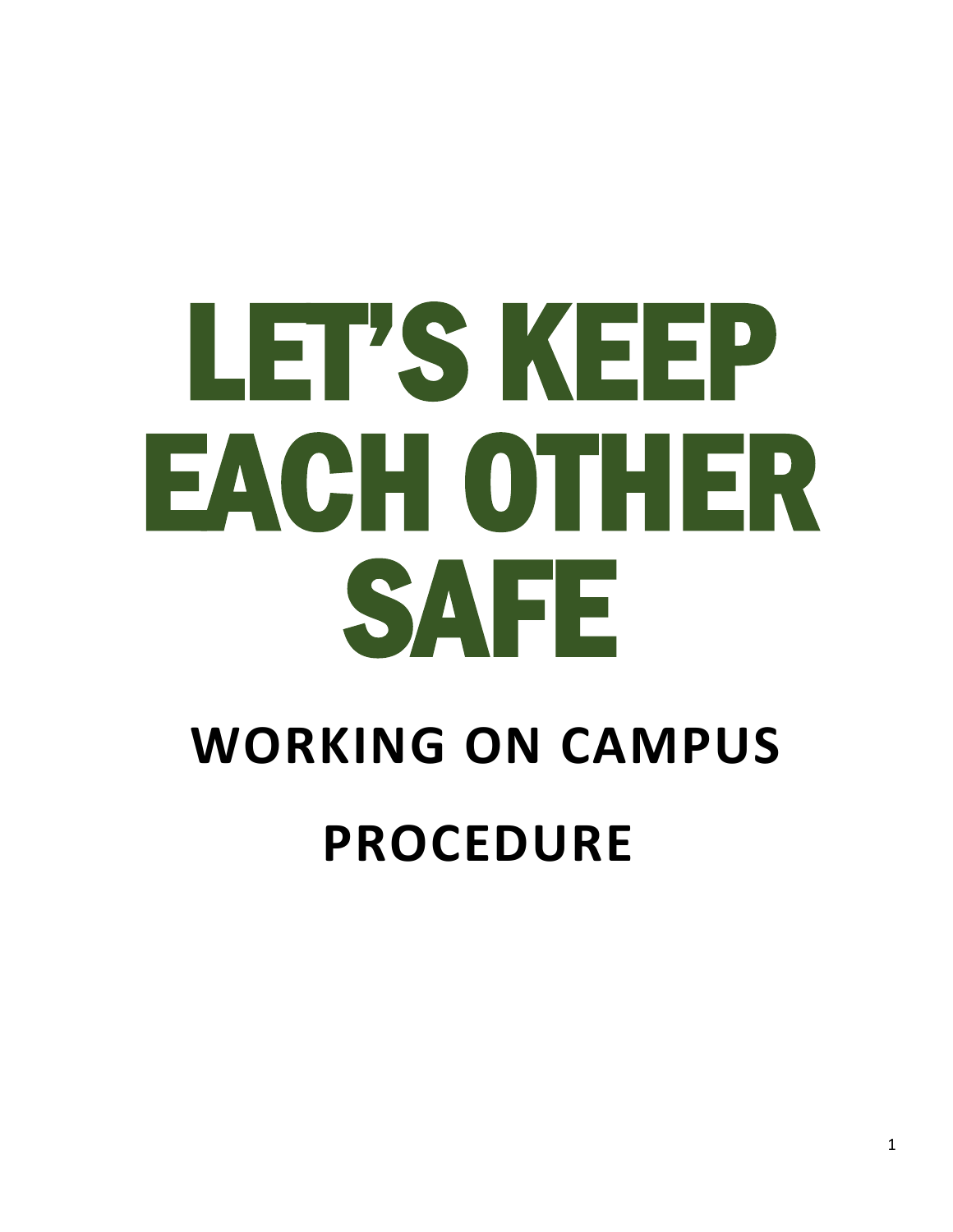# LET'S KEEP EACH OTHER SAFE

## **WORKING ON CAMPUS PROCEDURE**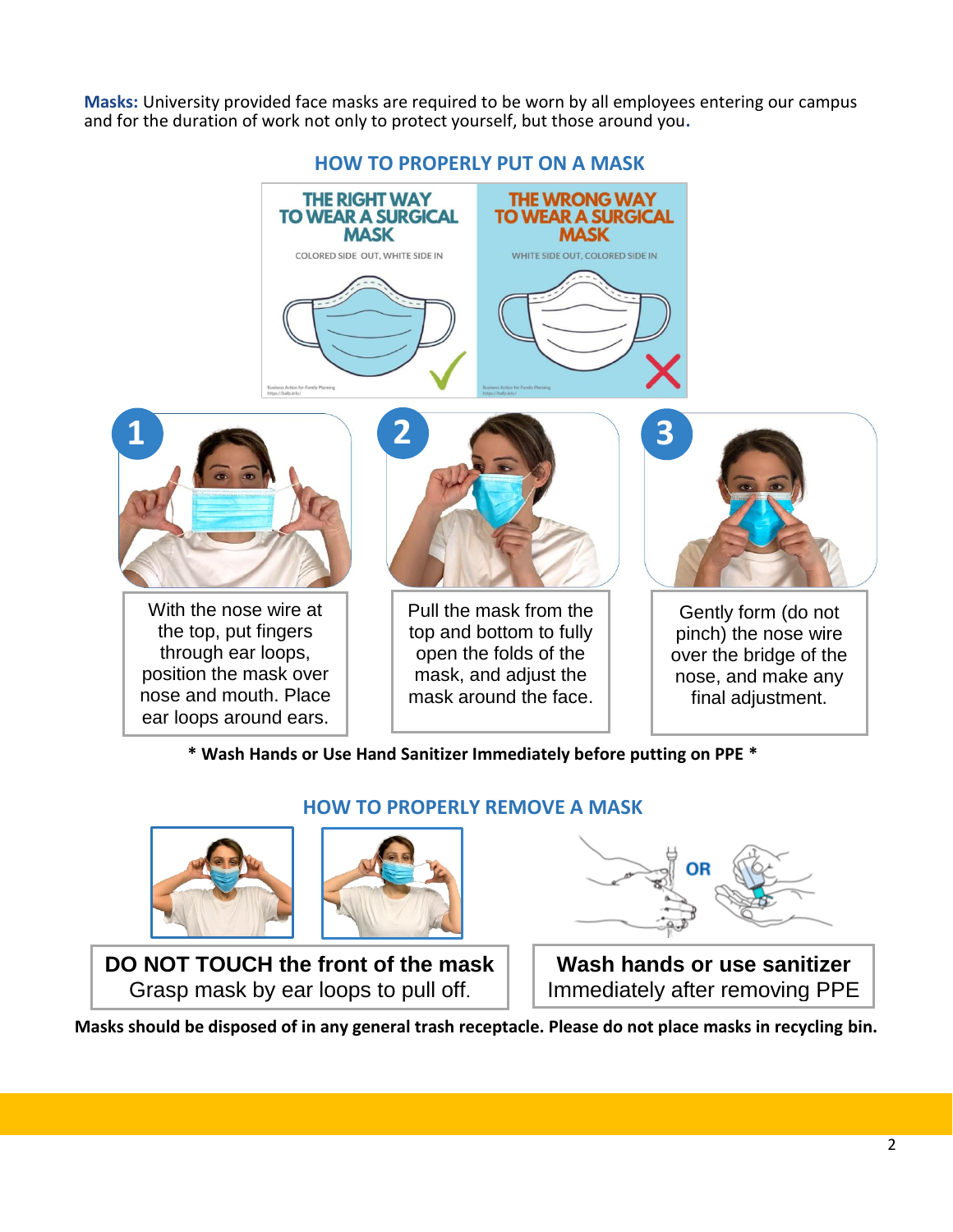**Masks:** University provided face masks are required to be worn by all employees entering our campus and for the duration of work not only to protect yourself, but those around you**.**



#### **HOW TO PROPERLY PUT ON A MASK**

**THE WRONG WAY** 

**TO WEAR A SURGICAL** 

**MASK** 

**THE RIGHT WAY** 

**TO WEAR A SURGICAL** 

**MASK** 

**\* Wash Hands or Use Hand Sanitizer Immediately before putting on PPE \***

**HOW TO PROPERLY REMOVE A MASK**



**DO NOT TOUCH the front of the mask** Grasp mask by ear loops to pull off.



**Wash hands or use sanitizer** Immediately after removing PPE

**Masks should be disposed of in any general trash receptacle. Please do not place masks in recycling bin.**